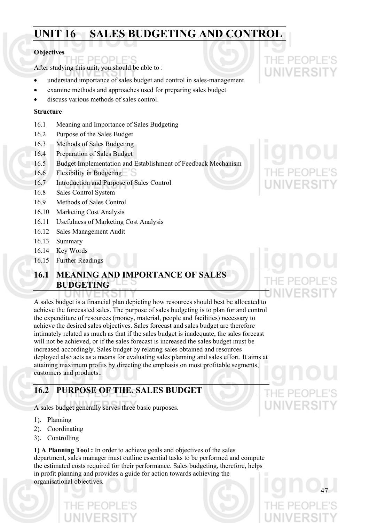## **UNIT 16 SALES BUDGETING AND CONTROL**

#### **Objectives**

PFOPI After studying this unit, you should be able to :

- understand importance of sales budget and control in sales-management
- examine methods and approaches used for preparing sales budget
- discuss various methods of sales control.

#### **Structure**

- 16.1 Meaning and Importance of Sales Budgeting
- 16.2 Purpose of the Sales Budget
- 16.3 Methods of Sales Budgeting
- 16.4 Preparation of Sales Budget
- 16.5 Budget Implementation and Establishment of Feedback Mechanism
- 16.6 Flexibility in Budgeting
- 16.7 Introduction and Purpose of Sales Control
- 16.8 Sales Control System
- 16.9 Methods of Sales Control
- 16.10 Marketing Cost Analysis
- 16.11 Usefulness of Marketing Cost Analysis
- 16.12 Sales Management Audit
- 16.13 Summary
- 16.14 Key Words
- 16.15 Further Readings

## **16.1 MEANING AND IMPORTANCE OF SALES BUDGETING**

A sales budget is a financial plan depicting how resources should best be allocated to achieve the forecasted sales. The purpose of sales budgeting is to plan for and control the expenditure of resources (money, material, people and facilities) necessary to achieve the desired sales objectives. Sales forecast and sales budget are therefore intimately related as much as that if the sales budget is inadequate, the sales forecast will not be achieved, or if the sales forecast is increased the sales budget must be increased accordingly. Sales budget by relating sales obtained and resources deployed also acts as a means for evaluating sales planning and sales effort. It aims at attaining maximum profits by directing the emphasis on most profitable segments, customers and products..

## **16.2 PURPOSE OF THE. SALES BUDGET**

A sales budget generally serves three basic purposes.

- 1). Planning
- 2). Coordinating
- 3). Controlling

**1) A Planning Tool :** In order to achieve goals and objectives of the sales department, sales manager must outline essential tasks to be performed and compute the estimated costs required for their performance. Sales budgeting, therefore, helps in profit planning and provides a guide for action towards achieving the organisational objectives.

THE PEOPLE'S

**UNIVERSIT**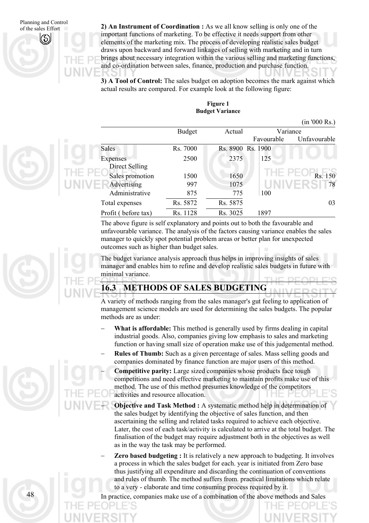of the sales Effort **2)** An Instrument of Coordination : As we all know selling is only one of the important functions of marketing. To be effective it needs support from other elements of the marketing mix. The process of developing realistic sales budget draws upon backward and forward linkages of selling with marketing and in turn brings about necessary integration within the various selling and marketing functions, and co-ordination between sales, finance, production and purchase function.

> **3) A Tool of Control:** The sales budget on adoption becomes the mark against which actual results are compared. For example look at the following figure:

| Figure 1               |  |  |  |  |
|------------------------|--|--|--|--|
| <b>Budget Variance</b> |  |  |  |  |

 $\sqrt{200}$  Rs.

|                                       |                      |                      |            | (111 'UUU KS.) |
|---------------------------------------|----------------------|----------------------|------------|----------------|
|                                       | <b>Budget</b>        | Actual               |            | Variance       |
|                                       |                      |                      | Favourable | Unfavourable   |
| Sales                                 | Rs. 7000             | Rs. 8900 Rs. 1900    |            |                |
| Expenses<br>Direct Selling            | 2500                 | 2375                 | 125        |                |
| Sales promotion<br>Advertising        | 1500<br>997          | 1650<br>1075         |            | Rs. 150<br>78  |
| Administrative                        | 875                  | 775                  | 100        |                |
| Total expenses<br>Profit (before tax) | Rs. 5872<br>Rs. 1128 | Rs. 5875<br>Rs. 3025 | 1897       | 03             |

The above figure is self explanatory and points out to both the favourable and unfavourable variance. The analysis of the factors causing variance enables the sales manager to quickly spot potential problem areas or better plan for unexpected outcomes such as higher than budget sales.

The budget variance analysis approach thus helps in improving insights of sales manager and enables him to refine and develop realistic sales budgets in future with minimal variance.

### **16.3 METHODS OF SALES BUDGETING**

A variety of methods ranging from the sales manager's gut feeling to application of management science models are used for determining the sales budgets. The popular methods are as under:

- **What is affordable:** This method is generally used by firms dealing in capital industrial goods. Also, companies giving low emphasis to sales and marketing function or having small size of operation make use of this judgemental method.
- **Rules of Thumb:** Such as a given percentage of sales. Mass selling goods and companies dominated by finance function are major users of this method.
- **Competitive parity:** Large sized companies whose products face tough competitions and need effective marketing to maintain profits make use of this method. The use of this method presumes knowledge of the competitors activities and resource allocation.
- **Objective and Task Method :** A systematic method help in determination of the sales budget by identifying the objective of sales function, and then ascertaining the selling and related tasks required to achieve each objective. Later, the cost of each task/activity is calculated to arrive at the total budget. The finalisation of the budget may require adjustment both in the objectives as well as in the way the task may be performed.
- **Zero based budgeting :** It is relatively a new approach to budgeting. It involves a process in which the sales budget for each. year is initiated from Zero base thus justifying all expenditure and discarding the continuation of conventions and rules of thumb. The method suffers from. practical limitations which relate to a very - elaborate and time consuming process required by it.

In practice, companies make use of a combination of the above methods and Sales

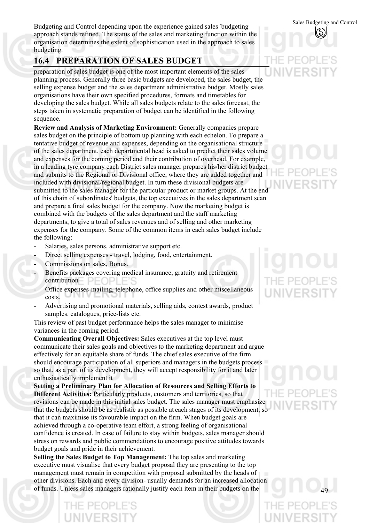Sales Budgeting and Control Budgeting and Control depending upon the experience gained sales - budgeting approach stands refined. The status of the sales and marketing function within the organisation determines the extent of sophistication used in the approach to sales budgeting.

#### **16.4 PREPARATION OF SALES BUDGET**

preparation of sales budget is one of the most important elements of the sales planning process. Generally three basic budgets are developed, the sales budget, the selling expense budget and the sales department administrative budget. Mostly sales organisations have their own specified procedures, formats and timetables for developing the sales budget. While all sales budgets relate to the sales forecast, the steps taken in systematic preparation of budget can be identified in the following sequence.

**Review and Analysis of Marketing Environment:** Generally companies prepare sales budget on the principle of bottom up planning with each echelon. To prepare a tentative budget of revenue and expenses, depending on the organisational structure of the sales department, each departmental head is asked to predict their sales volume and expenses for the coming period and their contribution of overhead. For example, in a leading tyre company each District sales manager prepares his/her district budget and submits to the Regional or Divisional office, where they are added together and included with divisional/regional budget. In turn these divisional budgets are submitted to the sales manager for the particular product or market groups. At the end of this chain of subordinates' budgets, the top executives in the sales department scan and prepare a final sales budget for the company. Now the marketing budget is combined with the budgets of the sales department and the staff marketing departments, to give a total of sales revenues and of selling and other marketing expenses for the company. Some of the common items in each sales budget include the following:

- Salaries, sales persons, administrative support etc.
- Direct selling expenses travel, lodging, food, entertainment.
- Commissions on sales, Bonus.
- Benefits packages covering medical insurance, gratuity and retirement contribution  $PF($
- Office expenses-mailing, telephone, office supplies and other miscellaneous costs.
- Advertising and promotional materials, selling aids, contest awards, product samples. catalogues, price-lists etc.

This review of past budget performance helps the sales manager to minimise variances in the coming period.

**Communicating Overall Objectives:** Sales executives at the top level must communicate their sales goals and objectives to the marketing department and argue effectively for an equitable share of funds. The chief sales executive of the firm should encourage participation of all superiors and managers in the budgets process so that, as a part of its development, they will accept responsibility for it and later enthusiastically implement it

**Setting a Preliminary Plan for Allocation of Resources and Selling Efforts to Different Activities:** Particularly products, customers and territories, so that revisions can be made in this initial sales budget. The sales manager must emphasize that the budgets should be as realistic as possible at each stages of its development, so that it can maximise its favourable impact on the firm. When budget goals are achieved through a co-operative team effort, a strong feeling of organisational confidence is created. In case of failure to stay within budgets, sales manager should stress on rewards and public commendations to encourage positive attitudes towards budget goals and pride in their achievement.

**Selling the Sales Budget to Top Management:** The top sales and marketing executive must visualise that every budget proposal they are presenting to the top management must remain in competition with proposal submitted by the heads of other divisions. Each and every division- usually demands for an increased allocation of funds. Unless sales managers rationally justify each item in their budgets on the

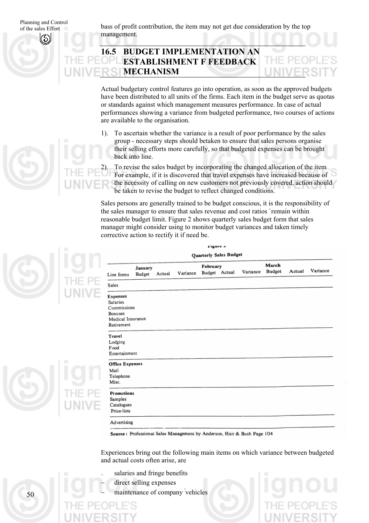of the sales Effort

Planning and Control bass of profit contribution, the item may not get due consideration by the top of the sales Effort management.

## **16.5 BUDGET IMPLEMENTATION AN ESTABLISHMENT F FEEDBACK MECHANISM**

Actual budgetary control features go into operation, as soon as the approved budgets have been distributed to all units of the firms. Each item in the budget serve as quotas or standards against which management measures performance. In case of actual performances showing a variance from budgeted performance, two courses of actions are available to the organisation.

1). To ascertain whether the variance is a result of poor performance by the sales group - necessary steps should betaken to ensure that sales persons organise their selling efforts more carefully, so that budgeted expenses can be brought back into line.

2). To revise the sales budget by incorporating the changed allocation of the item For example, if it is discovered that travel expenses have increased because of the necessity of calling on new customers not previously covered, action should be taken to revise the budget to reflect changed conditions.

Sales persons are generally trained to be budget conscious, it is the responsibility of the sales manager to ensure that sales revenue and cost ratios `remain within reasonable budget limit. Figure 2 shows quarterly sales budget form that sales manager might consider using to monitor budget variances and taken timely corrective action to rectify it if need be.

| March<br>February      |                   |        |          |               |  |          |        |        |          |
|------------------------|-------------------|--------|----------|---------------|--|----------|--------|--------|----------|
| Line Items             | January<br>Budget | Actual | Variance | Budget Actual |  | Variance | Budget | Actual | Variance |
| Sales                  |                   |        |          |               |  |          |        |        |          |
| Expenses               |                   |        |          |               |  |          |        |        |          |
| Salaries               |                   |        |          |               |  |          |        |        |          |
| Commissions            |                   |        |          |               |  |          |        |        |          |
| Bonuses                |                   |        |          |               |  |          |        |        |          |
| Medical Insurance      |                   |        |          |               |  |          |        |        |          |
| Retirement             |                   |        |          |               |  |          |        |        |          |
| Travel                 |                   |        |          |               |  |          |        |        |          |
| Lodging                |                   |        |          |               |  |          |        |        |          |
| Food                   |                   |        |          |               |  |          |        |        |          |
| Entertainment          |                   |        |          |               |  |          |        |        |          |
| <b>Office Expenses</b> |                   |        |          |               |  |          |        |        |          |
| Mail                   |                   |        |          |               |  |          |        |        |          |
| Telephone              |                   |        |          |               |  |          |        |        |          |
| Misc.                  |                   |        |          |               |  |          |        |        |          |
| Promotions             |                   |        |          |               |  |          |        |        |          |
| Samples                |                   |        |          |               |  |          |        |        |          |
| Catalogues             |                   |        |          |               |  |          |        |        |          |
| Price-lists            |                   |        |          |               |  |          |        |        |          |

Source: Professional Sales Management by Anderson, Hair & Bush Page 104

Experiences bring out the following main items on which variance between budgeted and actual costs often arise, are

- salaries and fringe benefits
- direct selling expenses
- − maintenance of company ' vehicles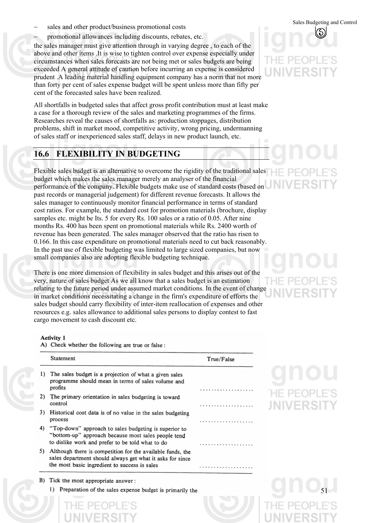- Sales Budgeting and Control − Sales Budgeting and Control − sales Budgeting and Control − sales Budgeting and Control
- promotional allowances including discounts, rebates, etc.

the sales manager must give attention through in varying degree , to each of the above and other items .It is wise to tighten control over expense especially under circumstances when sales forecasts are not being met or sales budgets are being exceeded A general attitude of caution before incurring an expense is considered prudent .A leading material handling equipment company has a norm that not more than forty per cent of sales expense budget will be spent unless more than fifty per cent of the forecasted sales have been realized.

All shortfalls in budgeted sales that affect gross profit contribution must at least make a case for a thorough review of the sales and marketing programmes of the firms. Researches reveal the causes of shortfalls as: production stoppages, distribution problems, shift in market mood, competitive activity, wrong pricing, undermanning of sales staff or inexperienced sales staff, delays in new product launch, etc.

#### **16.6 FLEXIBILITY IN BUDGETING**

Flexible sales budget is an alternative to overcome the rigidity of the traditional sales  $\Box$ budget which makes the sales manager merely an analyser of the financial performance of the company. Flexible budgets make use of standard costs (based on past records or managerial judgement) for different revenue forecasts. It allows the sales manager to continuously monitor financial performance in terms of standard cost ratios. For example, the standard cost for promotion materials (brochure, display samples etc. might be Its. 5 for every Rs. 100 sales or a ratio of 0.05. After nine months Rs. 400 has been spent on promotional materials while Rs. 2400 worth of revenue has been generated. The sales manager observed that the ratio has risen to 0.166. In this case expenditure on promotional materials need to cut back reasonably. In the past use of flexible budgeting was limited to large sized companies, but now small companies also are adopting flexible budgeting technique.

There is one more dimension of flexibility in sales budget and this arises out of the very, nature of sales budget As we all know that a sales budget is an estimation relating to the future period under assumed market conditions. In the event of change in market conditions necessitating a change in the firm's expenditure of efforts the sales budget should carry flexibility of inter-item reallocation of expenses and other resources e.g. sales allowance to additional sales persons to display contest to fast cargo movement to cash discount etc.

#### Activity 1

A) Check whether the following are true or false:

|    | Statement                                                                                                                                                                | True/False |
|----|--------------------------------------------------------------------------------------------------------------------------------------------------------------------------|------------|
| 1) | The sales budget is a projection of what a given sales<br>programme should mean in terms of sales volume and<br>profits                                                  |            |
| 2) | The primary orientation in sales budgeting is toward<br>control                                                                                                          |            |
| 3) | Historical cost data is of no value in the sales budgeting<br>process                                                                                                    |            |
| 4) | "Top-down" approach to sales budgeting is superior to<br>"bottom-up" approach because most sales people tend<br>to dislike work and prefer to be told what to do         |            |
| 5) | Although there is competition for the available funds, the<br>sales department should always get what it asks for since<br>the most basic ingredient to success is sales |            |
|    | B) Tick the most appropriate answer:                                                                                                                                     |            |
|    | 1) Preparation of the sales expense budget is primarily the                                                                                                              |            |



**HE PEOP JNIVERS**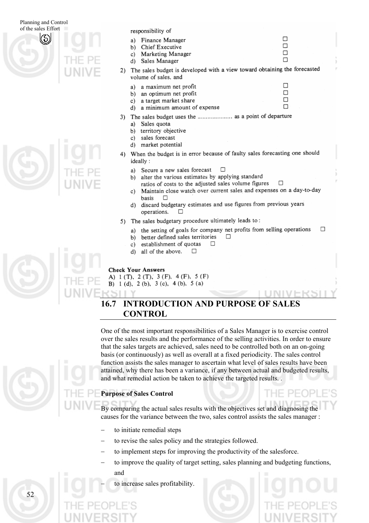

| THET  |
|-------|
| UNIVE |
|       |

responsibility of

- $\Box$ Finance Manager  $a)$  $\Box$ Chief Executive  $h)$ П Marketing Manager  $c)$  $\Box$ d) Sales Manager
- 2) The sales budget is developed with a view toward obtaining the forecasted volume of sales, and

□

 $\Box$ 

 $\Box$ 

 $\Box$ 

- a maximum net profit  $a)$
- an optimum net profit b)
- a target market share  $c)$ a minimum amount of expense d)
- 3) The sales budget uses the ...................... as a point of departure
	- Sales quota a)
	- b) territory objective
	- $c)$ sales forecast d) market potential
- When the budget is in error because of faulty sales forecasting one should 4) ideally:
	- Secure a new sales forecast п a)
	- alter the various estimates by applying standard b) ratios of costs to the adjusted sales volume figures
	- $\Box$ Maintain close watch over current sales and expenses on a day-to-day c) basis Л
	- d) discard budgetary estimates and use figures from previous years  $\Box$ operations.
- 5) The sales budgetary procedure ultimately leads to:
	- $\Box$ a) the setting of goals for company net profits from selling operations П
	- better defined sales territories h)
	- establishment of quotas c)
	- all of the above. d)  $\Box$

#### **Check Your Answers**

A) 1 (T), 2 (T), 3 (F), 4 (F), 5 (F) B) 1 (d), 2 (b), 3 (c), 4 (b), 5 (a)

## **16.7 INTRODUCTION AND PURPOSE OF SALES CONTROL**

One of the most important responsibilities of a Sales Manager is to exercise control over the sales results and the performance of the selling activities. In order to ensure that the sales targets are achieved, sales need to be controlled both on an on-going basis (or continuously) as well as overall at a fixed periodicity. The sales control function assists the sales manager to ascertain what level of sales results have been attained, why there has been a variance, if any between actual and budgeted results, and what remedial action be taken to achieve the targeted results. .

#### **Purpose of Sales Control**

By comparing the actual sales results with the objectives set and diagnosing the causes for the variance between the two, sales control assists the sales manager :

- to initiate remedial steps
- to revise the sales policy and the strategies followed.
- to implement steps for improving the productivity of the salesforce.
- to improve the quality of target setting, sales planning and budgeting functions, and
	- to increase sales profitability.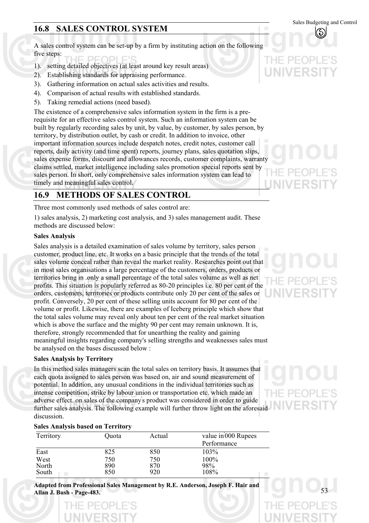## **16.8 SALES CONTROL SYSTEM**

A sales control system can be set-up by a firm by instituting action on the following five steps:

- 1). setting detailed objectives (at least around key result areas)
- 2). Establishing standards for appraising performance.
- 3). Gathering information on actual sales activities and results.
- 4). Comparison of actual results with established standards.
- 5). Taking remedial actions (need based).

The existence of a comprehensive sales information system in the firm is a prerequisite for an effective sales control system. Such an information system can be built by regularly recording sales by unit, by value, by customer, by sales person, by territory, by distribution outlet, by cash or credit. In addition to invoice, other important information sources include despatch notes, credit notes, customer call reports, daily activity (and time spent) reports, journey plans, sales quotation slips, sales expense forms, discount and allowances records, customer complaints, warranty claims settled, market intelligence including sales promotion special reports sent by sales person. In short, only comprehensive sales information system can lead to timely and meaningful sales control.

## **16.9 METHODS OF SALES CONTROL**

Three most commonly used methods of sales control are:

1) sales analysis, 2) marketing cost analysis, and 3) sales management audit. These methods are discussed below:

#### **Sales Analysis**

Sales analysis is a detailed examination of sales volume by territory, sales person customer, product line, etc. It works on a basic principle that the trends of the total sales volume conceal rather than reveal the market reality. Researches point out that in most sales organisations a large percentage of the customers, orders, products or territories bring in .only a small percentage of the total sales volume as well as net profits. This situation is popularly referred as 80-20 principles i.e. 80 per cent of the orders, customers, territories or products contribute only 20 per cent of the sales or profit. Conversely, 20 per cent of these selling units account for 80 per cent of the volume or profit. Likewise, there are examples of Iceberg principle which show that the total sales volume may reveal only about ten per cent of the real market situation which is above the surface and the mighty 90 per cent may remain unknown. It is, therefore, strongly recommended that for unearthing the reality and gaining meaningful insights regarding company's selling strengths and weaknesses sales must be analysed on the bases discussed below :

#### **Sales Analysis by Territory**

In this method sales managers scan the total sales on territory basis. It assumes that each quota assigned to sales person was based on, air and sound measurement of potential. In addition, any unusual conditions in the individual territories such as intense competition, strike by labour union or transportation etc. which made an adverse effect. on sales of the company' s product was considered in order to guide further sales analysis. The following example will further throw light on the aforesaid discussion.

#### **Sales Analysis based on Territory**

| Territory | Quota | Actual | value in 000 Rupees |
|-----------|-------|--------|---------------------|
|           |       |        | Performance         |
| East      | 825   | 850    | 103%                |
| West      | 750   | 750    | 100%                |
| North     | 890   | 870    | 98%                 |
| South     | 850   | 920    | 108%                |

**Adapted from Professional Sales Management by R.E. Anderson, Joseph F. Hair and Allan J. Bush - Page-483.** 





Sales Budgeting and Control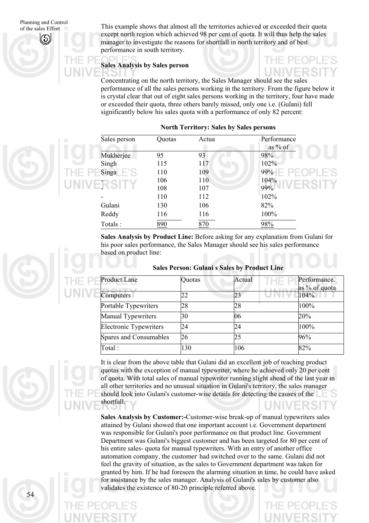of the sales Effort This example shows that almost all the territories achieved or exceeded their quota except north region which achieved 98 per cent of quota. It will thus help the sales manager to investigate the reasons for shortfall in north territory and of best performance in south territory.

#### **Sales Analysis by Sales person**

 $D1 E'$ 

Concentrating on the north territory, the Sales Manager should see the sales performance of all the sales persons working in the territory. From the figure below it is crystal clear that out of eight sales persons working in the territory, four have made or exceeded their quota, three others barely missed, only one i.e. (Gulani) fell significantly below his sales quota with a performance of only 82 percent:

| Sales person | Quotas | Actua | Performance<br>as $%$ of |
|--------------|--------|-------|--------------------------|
| Mukherjee    | 95     | 93    | 98%                      |
| Singh        | 115    | 117   | 102%                     |
| Singa        | 110    | 109   | 99%                      |
|              | 106    | 110   | 104%                     |
|              | 108    | 107   | 99%                      |
|              | 110    | 112   | 102%                     |
| Gulani       | 130    | 106   | 82%                      |
| Reddy        | 116    | 116   | 100%                     |
| Totals:      | 890    | 870   | 98%                      |

#### **North Territory: Sales by Sales persons**

**Sales Analysis by Product Line:** Before asking for any explanation from Gulani for his poor sales performance, the Sales Manager should see his sales performance based on product line:

| <b>Product Lane</b>           | Quotas | Actual | Performance.<br>as % of quota |
|-------------------------------|--------|--------|-------------------------------|
| Computers                     | 22     | 23     | 104%                          |
| Portable Typewriters          | 28     | 28     | 100%                          |
| <b>Manual Typewriters</b>     | 30     | 06     | 20%                           |
| <b>Electronic Typewriters</b> | 24     | 24     | 100%                          |
| Spares and Consumables        | 26     | 25     | 96%                           |
| Total:                        | 130    | 106    | 82%                           |

#### **Sales Person: Gulani s Sales by Product Line**



It is clear from the above table that Gulani did an excellent job of reaching product quotas with the exception of manual typewriter, where he achieved only 20 per cent of quota. With total sales of manual typewriter running slight ahead of the last year in all other territories and no unusual situation in Gulani's territory, the sales manager should look into Gulani's customer-wise details for detecting the causes of the shortfall.

**Sales Analysis by Customer:-**Customer-wise break-up of manual typewriters sales attained by Gulani showed that one important account i.e. Government department was responsible for Gulani's poor performance on that product line. Government Department was Gulani's biggest customer and has been targeted for 80 per cent of his entire sales- quota for manual typewriters. With an entry of another office automation company, the customer had switched over to the same. Gulani did not feel the gravity of situation, as the sales to Government department was taken for granted by him. If he had foreseen the alarming situation in time, he could have asked for assistance by the sales manager. Analysis of Gulani's sales by customer also validates the existence of 80-20 principle referred above.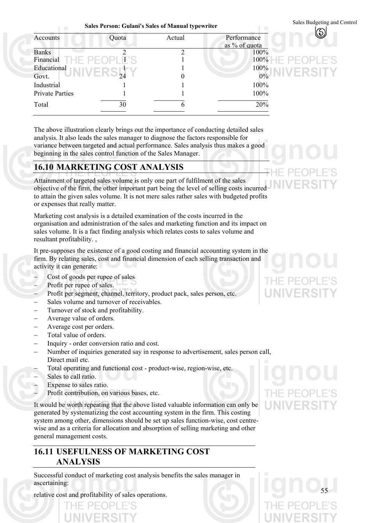Sales Budgeting and Control **Sales Person: Gulani's Sales of Manual typewriter** 

| Accounts               | Quota             | Actual | Performance<br>as % of quota |
|------------------------|-------------------|--------|------------------------------|
| <b>Banks</b>           |                   | C      | 100%                         |
| Financial              | $D \vdash (\neg)$ |        | 100%                         |
| Educational            |                   |        | 100%                         |
| Govt.                  |                   |        | $0\%$                        |
| Industrial             |                   |        | 100%                         |
| <b>Private Parties</b> |                   |        | 100%                         |
| Total                  | 30                | h      | 20%                          |
|                        |                   |        |                              |

The above illustration clearly brings out the importance of conducting detailed sales analysis. It also leads the sales manager to diagnose the factors responsible for variance between targeted and actual performance. Sales analysis thus makes a good beginning in the sales control function of the Sales Manager.

#### **16.10 MARKETING COST ANALYSIS**

Attainment of targeted sales volume is only one part of fulfilment of the sales objective of the firm, the other important part being the level of selling costs incurred to attain the given sales volume. It is not mere sales rather sales with budgeted profits or expenses that really matter.

Marketing cost analysis is a detailed examination of the costs incurred in the organisation and administration of the sales and marketing function and its impact on sales volume. It is a fact finding analysis which relates costs to sales volume and resultant profitability. ,

It pre-supposes the existence of a good costing and financial accounting system in the firm. By relating sales, cost and financial dimension of each selling transaction and activity it can generate:

- − Cost of goods per rupee of sales
- Profit per rupee of sales.

 $1 - 10$ 

- Profit per segment, channel, territory, product pack, sales person, etc.
- Sales volume and turnover of receivables.
- Turnover of stock and profitability.
- − Average value of orders.
- − Average cost per orders.
- Total value of orders.
- − Inquiry order conversion ratio and cost.
- − Number of inquiries generated say in response to advertisement, sales person call, Direct mail etc.
- Total operating and functional cost product-wise, region-wise, etc.
- Sales to call ratio.
- Expense to sales ratio.
- Profit contribution, on various bases, etc.

It would be worth repeating that the above listed valuable information can only be generated by systematizing the cost accounting system in the firm. This costing system among other, dimensions should be set up sales function-wise, cost centrewise and as a criteria for allocation and absorption of selling marketing and other general management costs.

#### **16.11 USEFULNESS OF MARKETING COST ANALYSIS**

Successful conduct of marketing cost analysis benefits the sales manager in ascertaining:

relative cost and profitability of sales operations.

**NIVERS**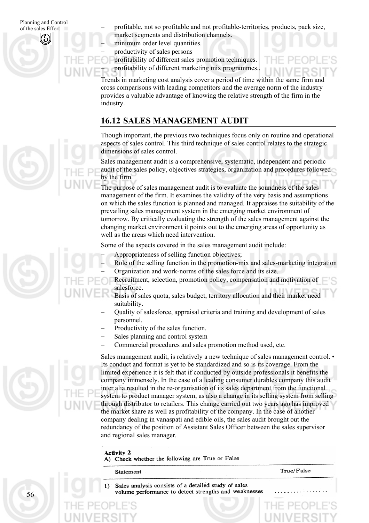of the sales Effort

- Planning and Control − profitable, not so profitable and not profitable-territories, products, pack size, market segments and distribution channels.
	- minimum order level quantities.

− productivity of sales persons

profitability of different sales promotion techniques. − profitability of different marketing mix programmes..

Trends in marketing cost analysis cover a period of time within the same firm and cross comparisons with leading competitors and the average norm of the industry provides a valuable advantage of knowing the relative strength of the firm in the industry.

## **16.12 SALES MANAGEMENT AUDIT**

Though important, the previous two techniques focus only on routine and operational aspects of sales control. This third technique of sales control relates to the strategic dimensions of sales control.

Sales management audit is a comprehensive, systematic, independent and periodic audit of the sales policy, objectives strategies, organization and procedures followed by the firm.

The purpose of sales management audit is to evaluate the soundness of the sales management of the firm. It examines the validity of the very basis and assumptions on which the sales function is planned and managed. It appraises the suitability of the prevailing sales management system in the emerging market environment of tomorrow. By critically evaluating the strength of the sales management against the changing market environment it points out to the emerging areas of opportunity as well as the areas which need intervention.

Some of the aspects covered in the sales management audit include:

- Appropriateness of selling function objectives;
- Role of the selling function in the promotion-mix and sales-marketing integration
- − Organization and work-norms of the sales force and its size.

Recruitment, selection, promotion policy, compensation and motivation of salesforce.

- Basis of sales quota, sales budget, territory allocation and their market need suitability.
- − Quality of salesforce, appraisal criteria and training and development of sales personnel.
- Productivity of the sales function.
- Sales planning and control system
- Commercial procedures and sales promotion method used, etc.

Sales management audit, is relatively a new technique of sales management control. • Its conduct and format is yet to be standardized and so is its coverage. From the limited experience it is felt that if conducted by outside professionals it benefits the company immensely. In the case of a leading consumer durables company this audit inter alia resulted in the re-organisation of its sales department from the functional system to product manager system, as also a change in its selling system from selling through distributor to retailers. This change carried out two years ago has improved the market share as well as profitability of the company. In the case of another company dealing in vanaspati and edible oils, the sales audit brought out the redundancy of the position of Assistant Sales Officer between the sales supervisor and regional sales manager.

#### **Activity 2**

A) Check whether the following are True or False

| Statement |  | True/False |
|-----------|--|------------|
|           |  |            |

Sales analysis consists of a detailed study of sales volume performance to detect strengths and weaknesses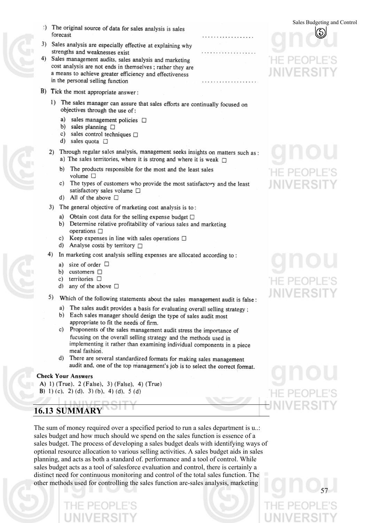- 
- The original source of data for sales analysis is sales D. forecast
- 3) Sales analysis are especially effective at explaining why strengths and weaknesses exist
- 4) Sales management audits, sales analysis and marketing cost analysis are not ends in themselves ; rather they are a means to achieve greater efficiency and effectiveness in the personal selling function
- B) Tick the most appropriate answer:
	- 1) The sales manager can assure that sales efforts are continually focused on objectives through the use of:
		- a) sales management policies  $\square$
		- b) sales planning  $\Box$
		- c) sales control techniques  $\Box$
		- d) sales quota  $\Box$
	- 2) Through regular sales analysis, management seeks insights on matters such as: a) The sales territories, where it is strong and where it is weak  $\Box$ 
		- b) The products responsible for the most and the least sales volume  $\square$
		- c) The types of customers who provide the most satisfactory and the least satisfactory sales volume  $\square$
		- d) All of the above  $\Box$
	- 3) The general objective of marketing cost analysis is to:
		- a) Obtain cost data for the selling expense budget  $\Box$
		- b) Determine relative profitability of various sales and marketing operations  $\square$
		- Keep expenses in line with sales operations  $\Box$ c)
		- d) Analyse costs by territory  $\Box$
	- 4) In marketing cost analysis selling expenses are allocated according to:
		- a) size of order  $\Box$
		- b)  $\text{customers}$   $\Box$
		- c) territories <sup>[]</sup>
		- d) any of the above  $\Box$
	- 5) Which of the following statements about the sales management audit is false:
		- a) The sales audit provides a basis for evaluating overall selling strategy ;
		- b) Each sales manager should design the type of sales audit most appropriate to fit the needs of firm.
		- c) Proponents of the sales management audit stress the importance of fucusing on the overall selling strategy and the methods used in implementing it rather than examining individual components in a piece meal fashion.
		- d) There are several standardized formats for making sales management audit and, one of the top management's job is to select the correct format.

#### **Check Your Answers**

A) 1) (True), 2 (False), 3) (False), 4) (True) B) 1) (c), 2) (d), 3) (b), 4) (d), 5 (d)

#### 1 I G J **16.13 SUMMARY**

The sum of money required over a specified period to run a sales department is u..: sales budget and how much should we spend on the sales function is essence of a sales budget. The process of developing a sales budget deals with identifying ways of optional resource allocation to various selling activities. A sales budget aids in sales planning, and acts as both a standard of. performance and a tool of control. While sales budget acts as a tool of salesforce evaluation and control, there is certainly a distinct need for continuous monitoring and control of the total sales function. The other methods used for controlling the sales function are-sales analysis, marketing

Sales Budgeting and Control

## $\vdash\vdash\mathsf{PF}($ JNIVERSI

# HE PEO